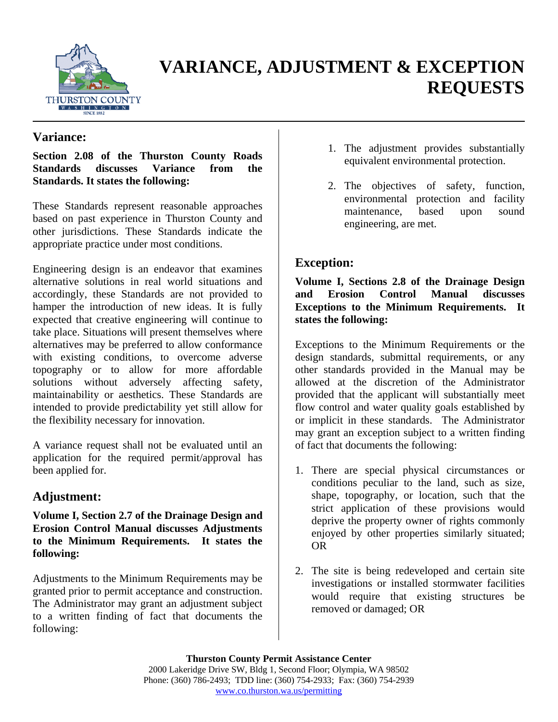

# **VARIANCE, ADJUSTMENT & EXCEPTION REQUESTS**

### **Variance:**

**Section 2.08 of the Thurston County Roads Standards discusses Variance from the Standards. It states the following:** 

These Standards represent reasonable approaches based on past experience in Thurston County and other jurisdictions. These Standards indicate the appropriate practice under most conditions.

Engineering design is an endeavor that examines alternative solutions in real world situations and accordingly, these Standards are not provided to hamper the introduction of new ideas. It is fully expected that creative engineering will continue to take place. Situations will present themselves where alternatives may be preferred to allow conformance with existing conditions, to overcome adverse topography or to allow for more affordable solutions without adversely affecting safety, maintainability or aesthetics. These Standards are intended to provide predictability yet still allow for the flexibility necessary for innovation.

A variance request shall not be evaluated until an application for the required permit/approval has been applied for.

#### **Adjustment:**

**Volume I, Section 2.7 of the Drainage Design and Erosion Control Manual discusses Adjustments to the Minimum Requirements. It states the following:** 

Adjustments to the Minimum Requirements may be granted prior to permit acceptance and construction. The Administrator may grant an adjustment subject to a written finding of fact that documents the following:

- 1. The adjustment provides substantially equivalent environmental protection.
- 2. The objectives of safety, function, environmental protection and facility maintenance, based upon sound engineering, are met.

## **Exception:**

**Volume I, Sections 2.8 of the Drainage Design and Erosion Control Manual discusses Exceptions to the Minimum Requirements. It states the following:** 

Exceptions to the Minimum Requirements or the design standards, submittal requirements, or any other standards provided in the Manual may be allowed at the discretion of the Administrator provided that the applicant will substantially meet flow control and water quality goals established by or implicit in these standards. The Administrator may grant an exception subject to a written finding of fact that documents the following:

- 1. There are special physical circumstances or conditions peculiar to the land, such as size, shape, topography, or location, such that the strict application of these provisions would deprive the property owner of rights commonly enjoyed by other properties similarly situated; OR
- 2. The site is being redeveloped and certain site investigations or installed stormwater facilities would require that existing structures be removed or damaged; OR